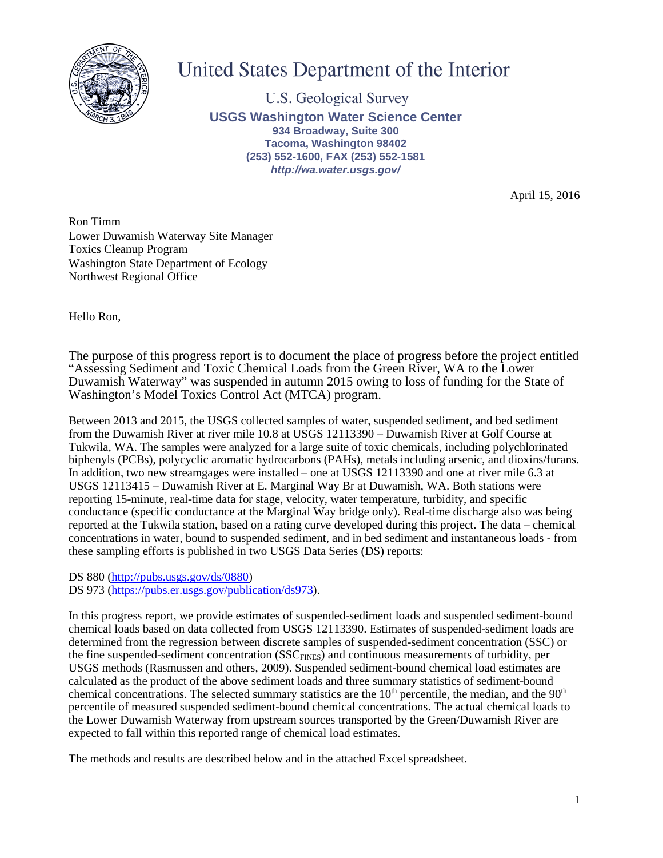

# United States Department of the Interior

**U.S. Geological Survey USGS Washington Water Science Center 934 Broadway, Suite 300 Tacoma, Washington 98402 (253) 552-1600, FAX (253) 552-1581** *http://wa.water.usgs.gov/*

April 15, 2016

Ron Timm Lower Duwamish Waterway Site Manager Toxics Cleanup Program Washington State Department of Ecology Northwest Regional Office

Hello Ron,

The purpose of this progress report is to document the place of progress before the project entitled "Assessing Sediment and Toxic Chemical Loads from the Green River, WA to the Lower Duwamish Waterway" was suspended in autumn 2015 owing to loss of funding for the State of Washington's Model Toxics Control Act (MTCA) program.

Between 2013 and 2015, the USGS collected samples of water, suspended sediment, and bed sediment from the Duwamish River at river mile 10.8 at USGS 12113390 – Duwamish River at Golf Course at Tukwila, WA. The samples were analyzed for a large suite of toxic chemicals, including polychlorinated biphenyls (PCBs), polycyclic aromatic hydrocarbons (PAHs), metals including arsenic, and dioxins/furans. In addition, two new streamgages were installed – one at USGS 12113390 and one at river mile 6.3 at USGS 12113415 – Duwamish River at E. Marginal Way Br at Duwamish, WA. Both stations were reporting 15-minute, real-time data for stage, velocity, water temperature, turbidity, and specific conductance (specific conductance at the Marginal Way bridge only). Real-time discharge also was being reported at the Tukwila station, based on a rating curve developed during this project. The data – chemical concentrations in water, bound to suspended sediment, and in bed sediment and instantaneous loads - from these sampling efforts is published in two USGS Data Series (DS) reports:

DS 880 [\(http://pubs.usgs.gov/ds/0880\)](http://pubs.usgs.gov/ds/0880) DS 973 [\(https://pubs.er.usgs.gov/publication/ds973\)](https://pubs.er.usgs.gov/publication/ds973).

In this progress report, we provide estimates of suspended-sediment loads and suspended sediment-bound chemical loads based on data collected from USGS 12113390. Estimates of suspended-sediment loads are determined from the regression between discrete samples of suspended-sediment concentration (SSC) or the fine suspended-sediment concentration (SSC<sub>FINES</sub>) and continuous measurements of turbidity, per USGS methods (Rasmussen and others, 2009). Suspended sediment-bound chemical load estimates are calculated as the product of the above sediment loads and three summary statistics of sediment-bound chemical concentrations. The selected summary statistics are the  $10<sup>th</sup>$  percentile, the median, and the  $90<sup>th</sup>$ percentile of measured suspended sediment-bound chemical concentrations. The actual chemical loads to the Lower Duwamish Waterway from upstream sources transported by the Green/Duwamish River are expected to fall within this reported range of chemical load estimates.

The methods and results are described below and in the attached Excel spreadsheet.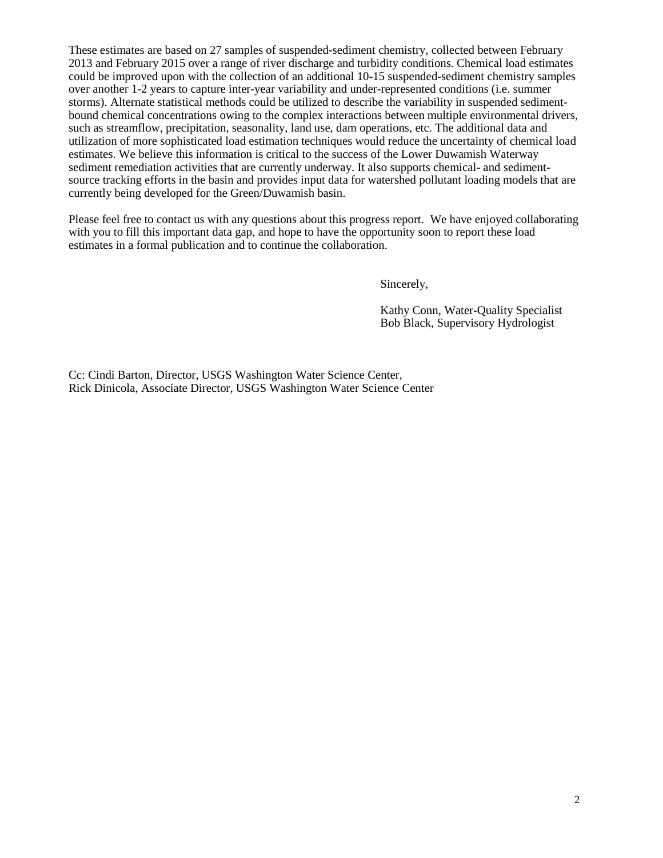These estimates are based on 27 samples of suspended-sediment chemistry, collected between February 2013 and February 2015 over a range of river discharge and turbidity conditions. Chemical load estimates could be improved upon with the collection of an additional 10-15 suspended-sediment chemistry samples over another 1-2 years to capture inter-year variability and under-represented conditions (i.e. summer storms). Alternate statistical methods could be utilized to describe the variability in suspended sedimentbound chemical concentrations owing to the complex interactions between multiple environmental drivers, such as streamflow, precipitation, seasonality, land use, dam operations, etc. The additional data and utilization of more sophisticated load estimation techniques would reduce the uncertainty of chemical load estimates. We believe this information is critical to the success of the Lower Duwamish Waterway sediment remediation activities that are currently underway. It also supports chemical- and sedimentsource tracking efforts in the basin and provides input data for watershed pollutant loading models that are currently being developed for the Green/Duwamish basin.

Please feel free to contact us with any questions about this progress report. We have enjoyed collaborating with you to fill this important data gap, and hope to have the opportunity soon to report these load estimates in a formal publication and to continue the collaboration.

Sincerely,

Kathy Conn, Water-Quality Specialist Bob Black, Supervisory Hydrologist

Cc: Cindi Barton, Director, USGS Washington Water Science Center, Rick Dinicola, Associate Director, USGS Washington Water Science Center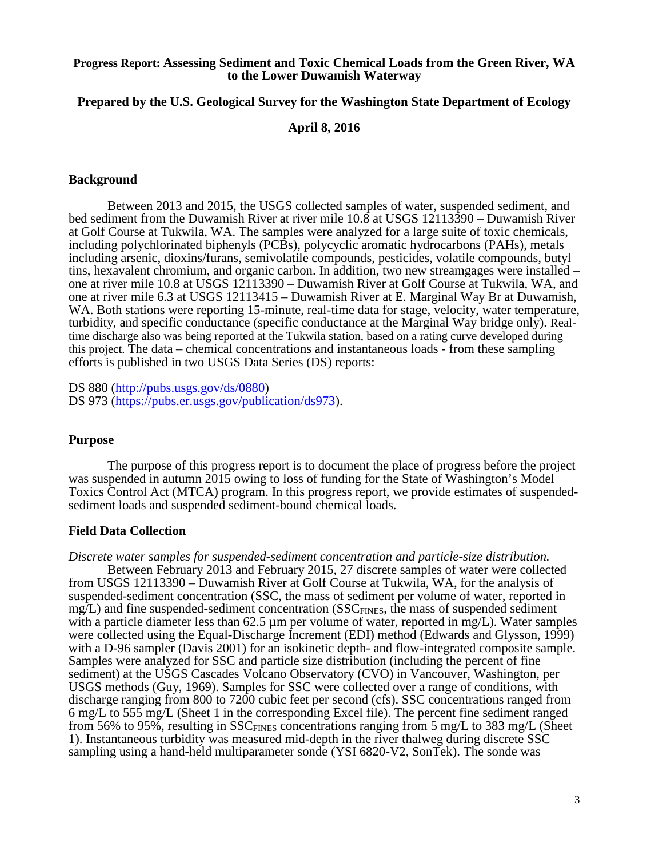## **Progress Report: Assessing Sediment and Toxic Chemical Loads from the Green River, WA to the Lower Duwamish Waterway**

# **Prepared by the U.S. Geological Survey for the Washington State Department of Ecology**

# **April 8, 2016**

# **Background**

Between 2013 and 2015, the USGS collected samples of water, suspended sediment, and bed sediment from the Duwamish River at river mile 10.8 at USGS 12113390 – Duwamish River at Golf Course at Tukwila, WA. The samples were analyzed for a large suite of toxic chemicals, including polychlorinated biphenyls (PCBs), polycyclic aromatic hydrocarbons (PAHs), metals including arsenic, dioxins/furans, semivolatile compounds, pesticides, volatile compounds, butyl tins, hexavalent chromium, and organic carbon. In addition, two new streamgages were installed – one at river mile 10.8 at USGS 12113390 – Duwamish River at Golf Course at Tukwila, WA, and one at river mile 6.3 at USGS 12113415 – Duwamish River at E. Marginal Way Br at Duwamish, WA. Both stations were reporting 15-minute, real-time data for stage, velocity, water temperature, turbidity, and specific conductance (specific conductance at the Marginal Way bridge only). Realtime discharge also was being reported at the Tukwila station, based on a rating curve developed during this project. The data – chemical concentrations and instantaneous loads - from these sampling efforts is published in two USGS Data Series (DS) reports:

DS 880 [\(http://pubs.usgs.gov/ds/0880\)](http://pubs.usgs.gov/ds/0880) DS 973 [\(https://pubs.er.usgs.gov/publication/ds973\)](https://pubs.er.usgs.gov/publication/ds973).

# **Purpose**

The purpose of this progress report is to document the place of progress before the project was suspended in autumn 2015 owing to loss of funding for the State of Washington's Model Toxics Control Act (MTCA) program. In this progress report, we provide estimates of suspendedsediment loads and suspended sediment-bound chemical loads.

#### **Field Data Collection**

*Discrete water samples for suspended-sediment concentration and particle-size distribution.*

Between February 2013 and February 2015, 27 discrete samples of water were collected from USGS 12113390 – Duwamish River at Golf Course at Tukwila, WA, for the analysis of suspended-sediment concentration (SSC, the mass of sediment per volume of water, reported in  $mg/L$ ) and fine suspended-sediment concentration (SSC $_{\text{FINES}}$ , the mass of suspended sediment with a particle diameter less than 62.5  $\mu$ m per volume of water, reported in mg/L). Water samples were collected using the Equal-Discharge Increment (EDI) method (Edwards and Glysson, 1999) with a D-96 sampler (Davis 2001) for an isokinetic depth- and flow-integrated composite sample. Samples were analyzed for SSC and particle size distribution (including the percent of fine sediment) at the USGS Cascades Volcano Observatory (CVO) in Vancouver, Washington, per USGS methods (Guy, 1969). Samples for SSC were collected over a range of conditions, with discharge ranging from 800 to 7200 cubic feet per second (cfs). SSC concentrations ranged from 6 mg/L to 555 mg/L (Sheet 1 in the corresponding Excel file). The percent fine sediment ranged from 56% to 95%, resulting in  $SSC_{FINES}$  concentrations ranging from 5 mg/L to 383 mg/L (Sheet 1). Instantaneous turbidity was measured mid-depth in the river thalweg during discrete SSC sampling using a hand-held multiparameter sonde (YSI 6820-V2, SonTek). The sonde was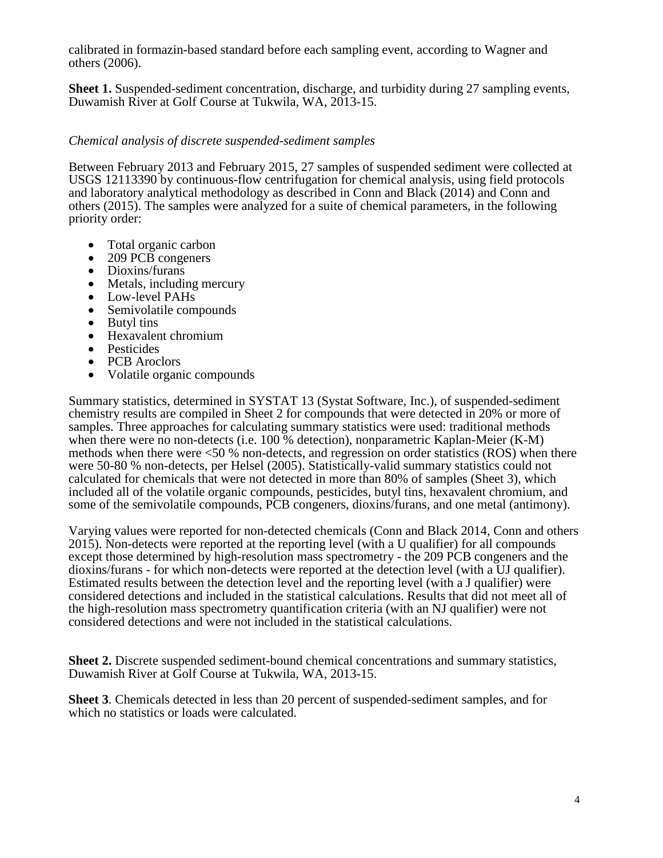calibrated in formazin-based standard before each sampling event, according to Wagner and others (2006).

**Sheet 1.** Suspended-sediment concentration, discharge, and turbidity during 27 sampling events, Duwamish River at Golf Course at Tukwila, WA, 2013-15.

# *Chemical analysis of discrete suspended-sediment samples*

Between February 2013 and February 2015, 27 samples of suspended sediment were collected at USGS 12113390 by continuous-flow centrifugation for chemical analysis, using field protocols and laboratory analytical methodology as described in Conn and Black (2014) and Conn and others (2015). The samples were analyzed for a suite of chemical parameters, in the following priority order:

- 
- 
- 
- 
- 
- 
- 
- 
- 
- 
- Total organic carbon<br>
209 PCB congeners<br>
Dioxins/furans<br>
Metals, including mercury<br>
Low-level PAHs<br>
Semivolatile compounds<br>
Butyl tins<br>
Hexavalent chromium<br>
Pesticides<br>
PCB Aroclors<br>
Volatile organic

Summary statistics, determined in SYSTAT 13 (Systat Software, Inc.), of suspended-sediment chemistry results are compiled in Sheet 2 for compounds that were detected in 20% or more of samples. Three approaches for calculating summary statistics were used: traditional methods when there were no non-detects (i.e. 100 % detection), nonparametric Kaplan-Meier (K-M) methods when there were <50 % non-detects, and regression on order statistics (ROS) when there were 50-80 % non-detects, per Helsel (2005). Statistically-valid summary statistics could not calculated for chemicals that were not detected in more than 80% of samples (Sheet 3), which included all of the volatile organic compounds, pesticides, butyl tins, hexavalent chromium, and some of the semivolatile compounds, PCB congeners, dioxins/furans, and one metal (antimony).

Varying values were reported for non-detected chemicals (Conn and Black 2014, Conn and others 2015). Non-detects were reported at the reporting level (with a U qualifier) for all compounds except those determined by high-resolution mass spectrometry - the 209 PCB congeners and the dioxins/furans - for which non-detects were reported at the detection level (with a UJ qualifier). Estimated results between the detection level and the reporting level (with a J qualifier) were considered detections and included in the statistical calculations. Results that did not meet all of the high-resolution mass spectrometry quantification criteria (with an NJ qualifier) were not considered detections and were not included in the statistical calculations.

**Sheet 2.** Discrete suspended sediment-bound chemical concentrations and summary statistics, Duwamish River at Golf Course at Tukwila, WA, 2013-15.

**Sheet 3**. Chemicals detected in less than 20 percent of suspended-sediment samples, and for which no statistics or loads were calculated.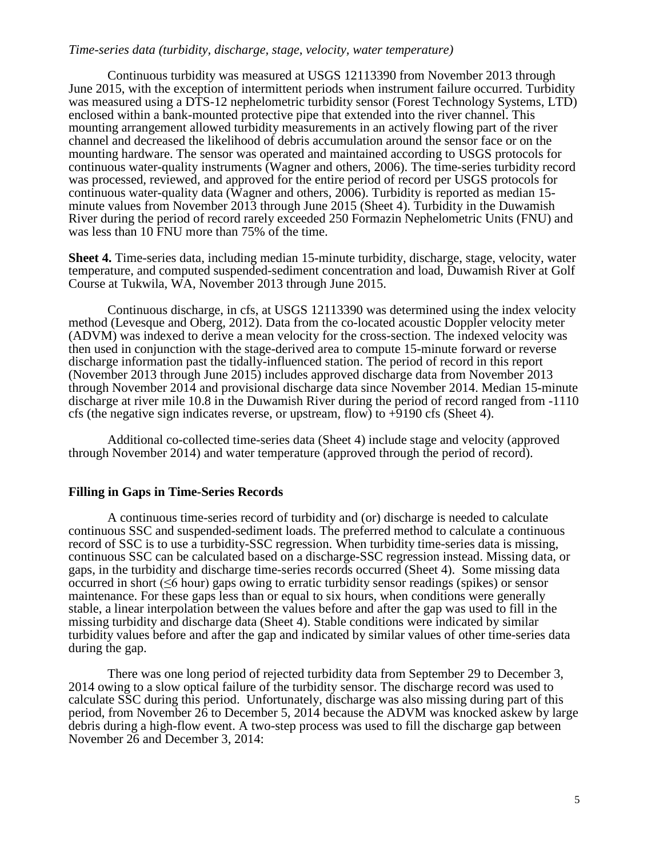# *Time-series data (turbidity, discharge, stage, velocity, water temperature)*

Continuous turbidity was measured at USGS 12113390 from November 2013 through June 2015, with the exception of intermittent periods when instrument failure occurred. Turbidity was measured using a DTS-12 nephelometric turbidity sensor (Forest Technology Systems, LTD) enclosed within a bank-mounted protective pipe that extended into the river channel. This mounting arrangement allowed turbidity measurements in an actively flowing part of the river channel and decreased the likelihood of debris accumulation around the sensor face or on the mounting hardware. The sensor was operated and maintained according to USGS protocols for continuous water-quality instruments (Wagner and others, 2006). The time-series turbidity record was processed, reviewed, and approved for the entire period of record per USGS protocols for continuous water-quality data (Wagner and others, 2006). Turbidity is reported as median 15minute values from November 2013 through June 2015 (Sheet 4). Turbidity in the Duwamish River during the period of record rarely exceeded 250 Formazin Nephelometric Units (FNU) and was less than 10 FNU more than 75% of the time.

**Sheet 4.** Time-series data, including median 15-minute turbidity, discharge, stage, velocity, water temperature, and computed suspended-sediment concentration and load, Duwamish River at Golf Course at Tukwila, WA, November 2013 through June 2015.

Continuous discharge, in cfs, at USGS 12113390 was determined using the index velocity method (Levesque and Oberg, 2012). Data from the co-located acoustic Doppler velocity meter (ADVM) was indexed to derive a mean velocity for the cross-section. The indexed velocity was then used in conjunction with the stage-derived area to compute 15-minute forward or reverse discharge information past the tidally-influenced station. The period of record in this report (November 2013 through June 2015) includes approved discharge data from November 2013 through November 2014 and provisional discharge data since November 2014. Median 15-minute discharge at river mile 10.8 in the Duwamish River during the period of record ranged from -1110 cfs (the negative sign indicates reverse, or upstream, flow) to +9190 cfs (Sheet 4).

Additional co-collected time-series data (Sheet 4) include stage and velocity (approved through November 2014) and water temperature (approved through the period of record).

#### **Filling in Gaps in Time-Series Records**

A continuous time-series record of turbidity and (or) discharge is needed to calculate continuous SSC and suspended-sediment loads. The preferred method to calculate a continuous record of SSC is to use a turbidity-SSC regression. When turbidity time-series data is missing, continuous SSC can be calculated based on a discharge-SSC regression instead. Missing data, or gaps, in the turbidity and discharge time-series records occurred (Sheet 4). Some missing data occurred in short (≤6 hour) gaps owing to erratic turbidity sensor readings (spikes) or sensor maintenance. For these gaps less than or equal to six hours, when conditions were generally stable, a linear interpolation between the values before and after the gap was used to fill in the missing turbidity and discharge data (Sheet 4). Stable conditions were indicated by similar turbidity values before and after the gap and indicated by similar values of other time-series data during the gap.

There was one long period of rejected turbidity data from September 29 to December 3, 2014 owing to a slow optical failure of the turbidity sensor. The discharge record was used to calculate SSC during this period. Unfortunately, discharge was also missing during part of this period, from November 26 to December 5, 2014 because the ADVM was knocked askew by large debris during a high-flow event. A two-step process was used to fill the discharge gap between November 26 and December 3, 2014: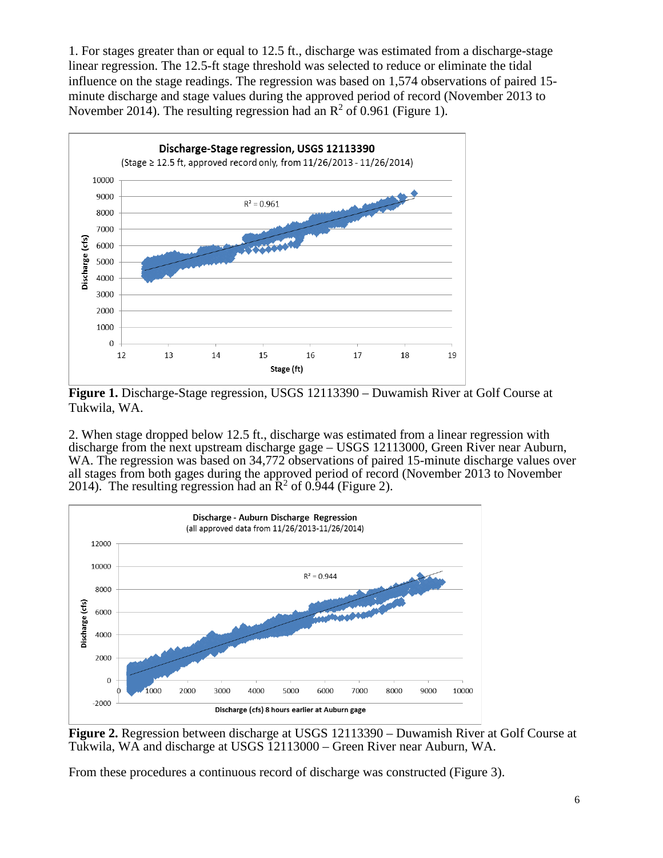1. For stages greater than or equal to 12.5 ft., discharge was estimated from a discharge-stage linear regression. The 12.5-ft stage threshold was selected to reduce or eliminate the tidal influence on the stage readings. The regression was based on 1,574 observations of paired 15 minute discharge and stage values during the approved period of record (November 2013 to November 2014). The resulting regression had an  $\mathbb{R}^2$  of 0.961 (Figure 1).



**Figure 1.** Discharge-Stage regression, USGS 12113390 – Duwamish River at Golf Course at Tukwila, WA.

2. When stage dropped below 12.5 ft., discharge was estimated from a linear regression with discharge from the next upstream discharge gage – USGS 12113000, Green River near Auburn, WA. The regression was based on 34,772 observations of paired 15-minute discharge values over all stages from both gages during the approved period of record (November 2013 to November 2014). The resulting regression had an  $\mathbb{R}^2$  of 0.944 (Figure 2).



**Figure 2.** Regression between discharge at USGS 12113390 – Duwamish River at Golf Course at Tukwila, WA and discharge at USGS 12113000 – Green River near Auburn, WA.

From these procedures a continuous record of discharge was constructed (Figure 3).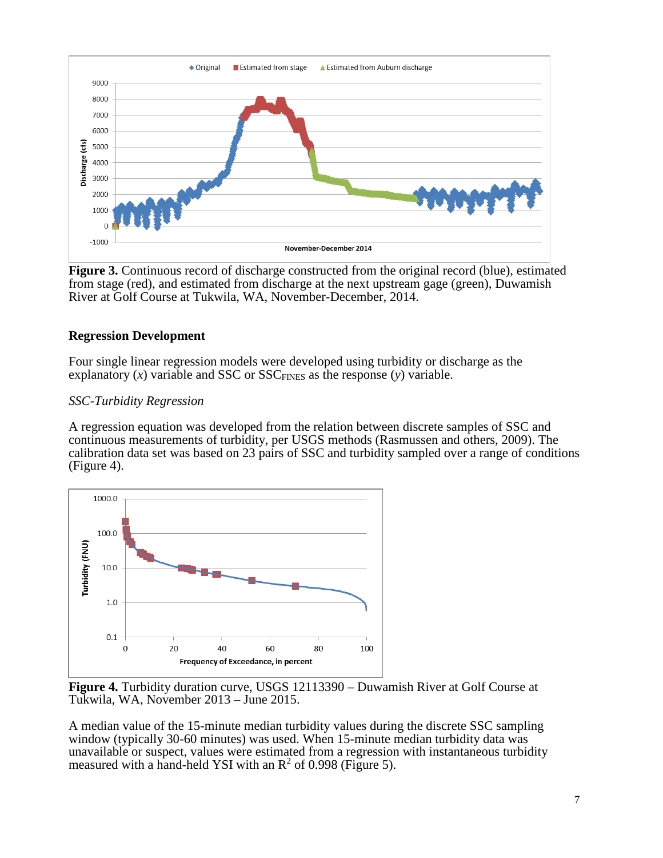

**Figure 3.** Continuous record of discharge constructed from the original record (blue), estimated from stage (red), and estimated from discharge at the next upstream gage (green), Duwamish River at Golf Course at Tukwila, WA, November-December, 2014.

# **Regression Development**

Four single linear regression models were developed using turbidity or discharge as the explanatory  $(x)$  variable and SSC or SSC<sub>FINES</sub> as the response  $(y)$  variable.

# *SSC-Turbidity Regression*

A regression equation was developed from the relation between discrete samples of SSC and continuous measurements of turbidity, per USGS methods (Rasmussen and others, 2009). The calibration data set was based on 23 pairs of SSC and turbidity sampled over a range of conditions (Figure 4).



**Figure 4.** Turbidity duration curve, USGS 12113390 – Duwamish River at Golf Course at Tukwila, WA, November 2013 – June 2015.

A median value of the 15-minute median turbidity values during the discrete SSC sampling window (typically 30-60 minutes) was used. When 15-minute median turbidity data was unavailable or suspect, values were estimated from a regression with instantaneous turbidity measured with a hand-held YSI with an  $\mathbb{R}^2$  of 0.998 (Figure 5).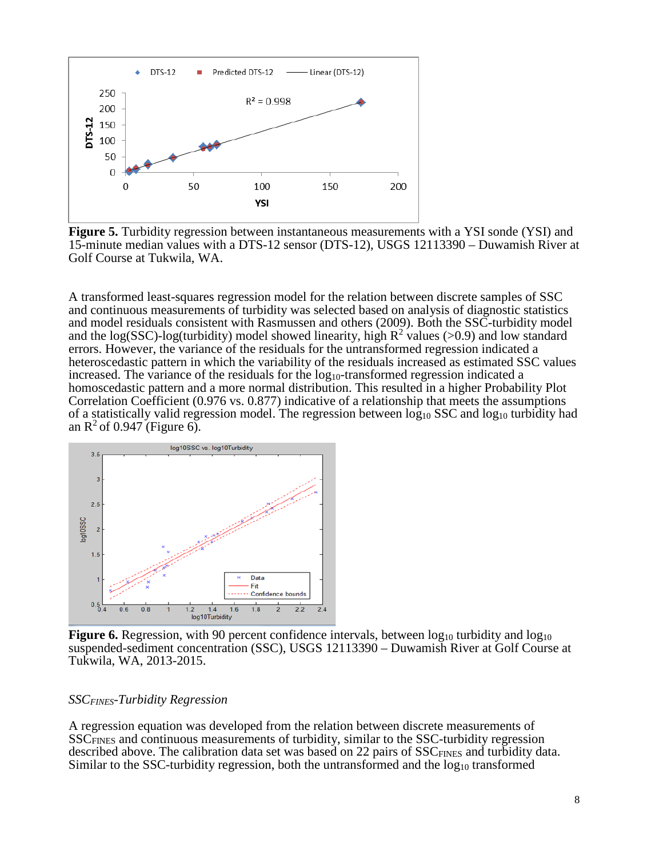

**Figure 5.** Turbidity regression between instantaneous measurements with a YSI sonde (YSI) and 15-minute median values with a DTS-12 sensor (DTS-12), USGS 12113390 – Duwamish River at Golf Course at Tukwila, WA.

A transformed least-squares regression model for the relation between discrete samples of SSC and continuous measurements of turbidity was selected based on analysis of diagnostic statistics and model residuals consistent with Rasmussen and others (2009). Both the SSC-turbidity model and the log(SSC)-log(turbidity) model showed linearity, high  $R^2$  values (>0.9) and low standard errors. However, the variance of the residuals for the untransformed regression indicated a heteroscedastic pattern in which the variability of the residuals increased as estimated SSC values increased. The variance of the residuals for the  $log_{10}$ -transformed regression indicated a homoscedastic pattern and a more normal distribution. This resulted in a higher Probability Plot Correlation Coefficient (0.976 vs. 0.877) indicative of a relationship that meets the assumptions of a statistically valid regression model. The regression between  $log_{10}$  SSC and  $log_{10}$  turbidity had an  $\mathbb{R}^2$  of 0.947 (Figure 6).



**Figure 6.** Regression, with 90 percent confidence intervals, between  $log_{10}$  turbidity and  $log_{10}$ suspended-sediment concentration (SSC), USGS 12113390 – Duwamish River at Golf Course at Tukwila, WA, 2013-2015.

# *SSCFINES-Turbidity Regression*

A regression equation was developed from the relation between discrete measurements of SSCFINES and continuous measurements of turbidity, similar to the SSC-turbidity regression described above. The calibration data set was based on 22 pairs of  $SSC_{FINES}$  and turbidity data. Similar to the SSC-turbidity regression, both the untransformed and the log<sub>10</sub> transformed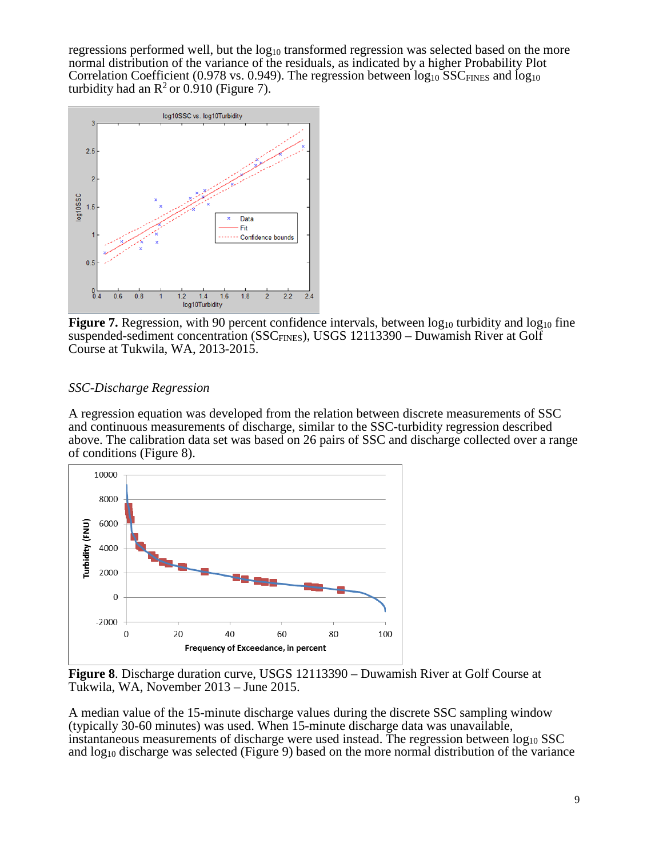regressions performed well, but the  $log_{10}$  transformed regression was selected based on the more normal distribution of the variance of the residuals, as indicated by a higher Probability Plot Correlation Coefficient (0.978 vs. 0.949). The regression between  $log_{10}$  SSC<sub>FINES</sub> and  $log_{10}$ turbidity had an  $\mathbb{R}^2$  or 0.910 (Figure 7).



**Figure 7.** Regression, with 90 percent confidence intervals, between log<sub>10</sub> turbidity and log<sub>10</sub> fine suspended-sediment concentration (SSC<sub>FINES</sub>), USGS 12113390 – Duwamish River at Golf Course at Tukwila, WA, 2013-2015.

# *SSC-Discharge Regression*

A regression equation was developed from the relation between discrete measurements of SSC and continuous measurements of discharge, similar to the SSC-turbidity regression described above. The calibration data set was based on 26 pairs of SSC and discharge collected over a range of conditions (Figure 8).



**Figure 8**. Discharge duration curve, USGS 12113390 – Duwamish River at Golf Course at Tukwila, WA, November 2013 – June 2015.

A median value of the 15-minute discharge values during the discrete SSC sampling window (typically 30-60 minutes) was used. When 15-minute discharge data was unavailable, instantaneous measurements of discharge were used instead. The regression between  $log_{10}$  SSC and  $log_{10}$  discharge was selected (Figure 9) based on the more normal distribution of the variance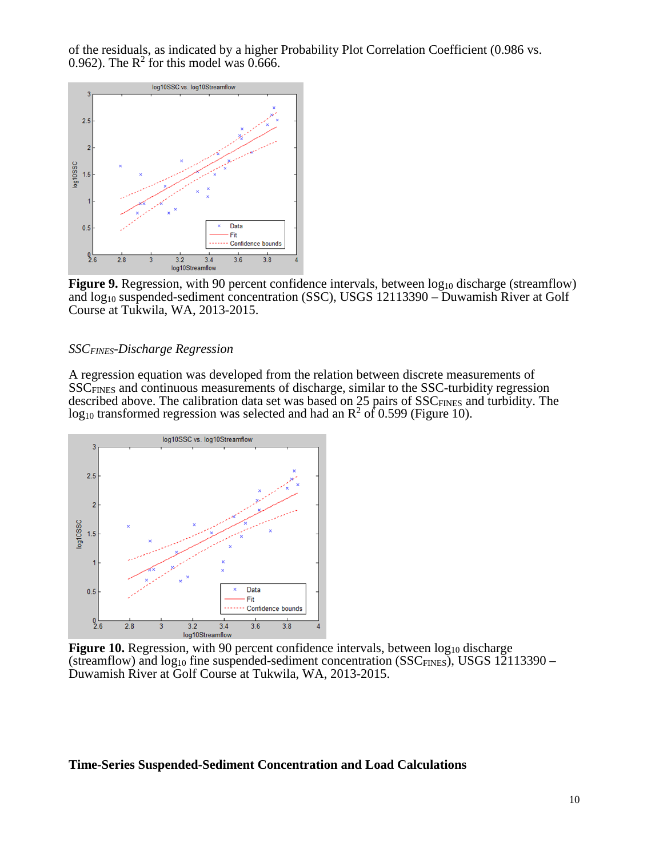of the residuals, as indicated by a higher Probability Plot Correlation Coefficient (0.986 vs. 0.962). The  $\mathbb{R}^2$  for this model was 0.666.



**Figure 9.** Regression, with 90 percent confidence intervals, between log<sub>10</sub> discharge (streamflow) and log<sub>10</sub> suspended-sediment concentration (SSC), USGS 12113390 – Duwamish River at Golf Course at Tukwila, WA, 2013-2015.

## *SSCFINES-Discharge Regression*

A regression equation was developed from the relation between discrete measurements of SSCFINES and continuous measurements of discharge, similar to the SSC-turbidity regression described above. The calibration data set was based on 25 pairs of SSC<sub>FINES</sub> and turbidity. The  $log_{10}$  transformed regression was selected and had an  $R^2$  of 0.599 (Figure 10).



**Figure 10.** Regression, with 90 percent confidence intervals, between  $log_{10}$  discharge (streamflow) and  $log_{10}$  fine suspended-sediment concentration (SSC<sub>FINES</sub>), USGS 12113390 – Duwamish River at Golf Course at Tukwila, WA, 2013-2015.

#### **Time-Series Suspended-Sediment Concentration and Load Calculations**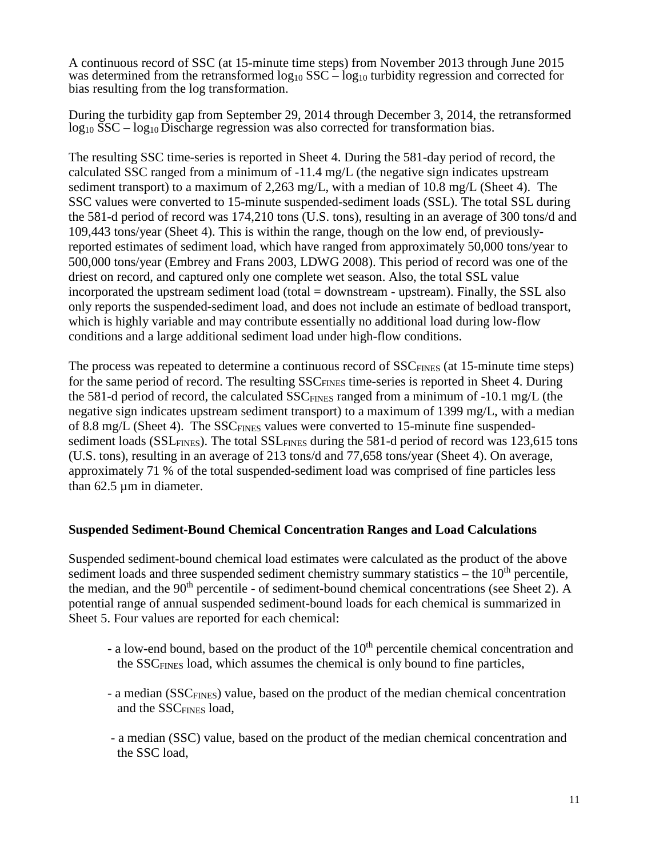A continuous record of SSC (at 15-minute time steps) from November 2013 through June 2015 was determined from the retransformed  $\log_{10}$  SSC –  $\log_{10}$  turbidity regression and corrected for bias resulting from the log transformation.

During the turbidity gap from September 29, 2014 through December 3, 2014, the retransformed log<sub>10</sub> SSC – log<sub>10</sub> Discharge regression was also corrected for transformation bias.

The resulting SSC time-series is reported in Sheet 4. During the 581-day period of record, the calculated SSC ranged from a minimum of -11.4 mg/L (the negative sign indicates upstream sediment transport) to a maximum of 2,263 mg/L, with a median of 10.8 mg/L (Sheet 4). The SSC values were converted to 15-minute suspended-sediment loads (SSL). The total SSL during the 581-d period of record was 174,210 tons (U.S. tons), resulting in an average of 300 tons/d and 109,443 tons/year (Sheet 4). This is within the range, though on the low end, of previouslyreported estimates of sediment load, which have ranged from approximately 50,000 tons/year to 500,000 tons/year (Embrey and Frans 2003, LDWG 2008). This period of record was one of the driest on record, and captured only one complete wet season. Also, the total SSL value incorporated the upstream sediment load (total = downstream - upstream). Finally, the SSL also only reports the suspended-sediment load, and does not include an estimate of bedload transport, which is highly variable and may contribute essentially no additional load during low-flow conditions and a large additional sediment load under high-flow conditions.

The process was repeated to determine a continuous record of SSC<sub>FINES</sub> (at 15-minute time steps) for the same period of record. The resulting SSC<sub>FINES</sub> time-series is reported in Sheet 4. During the 581-d period of record, the calculated  $SSC_{FINES}$  ranged from a minimum of -10.1 mg/L (the negative sign indicates upstream sediment transport) to a maximum of 1399 mg/L, with a median of 8.8 mg/L (Sheet 4). The SSC<sub>FINES</sub> values were converted to 15-minute fine suspendedsediment loads ( $SSL<sub>FINES</sub>$ ). The total  $SSL<sub>FINES</sub>$  during the 581-d period of record was 123,615 tons (U.S. tons), resulting in an average of 213 tons/d and 77,658 tons/year (Sheet 4). On average, approximately 71 % of the total suspended-sediment load was comprised of fine particles less than  $62.5 \mu m$  in diameter.

# **Suspended Sediment-Bound Chemical Concentration Ranges and Load Calculations**

Suspended sediment-bound chemical load estimates were calculated as the product of the above sediment loads and three suspended sediment chemistry summary statistics – the  $10<sup>th</sup>$  percentile, the median, and the  $90<sup>th</sup>$  percentile - of sediment-bound chemical concentrations (see Sheet 2). A potential range of annual suspended sediment-bound loads for each chemical is summarized in Sheet 5. Four values are reported for each chemical:

- a low-end bound, based on the product of the  $10<sup>th</sup>$  percentile chemical concentration and the SSCFINES load, which assumes the chemical is only bound to fine particles,
- a median (SSCFINES) value, based on the product of the median chemical concentration and the SSCFINES load,
- a median (SSC) value, based on the product of the median chemical concentration and the SSC load,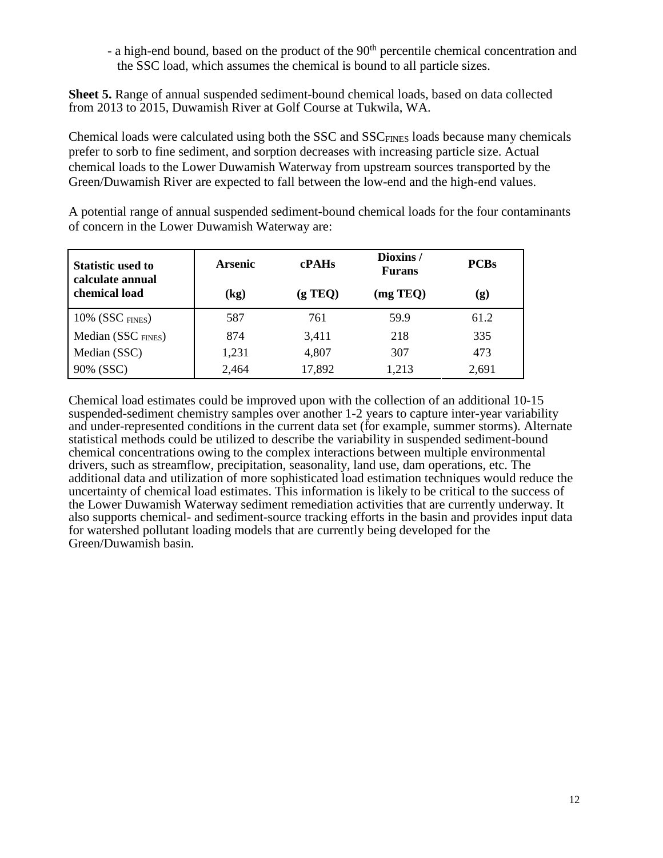- a high-end bound, based on the product of the 90<sup>th</sup> percentile chemical concentration and the SSC load, which assumes the chemical is bound to all particle sizes.

**Sheet 5.** Range of annual suspended sediment-bound chemical loads, based on data collected from 2013 to 2015, Duwamish River at Golf Course at Tukwila, WA.

Chemical loads were calculated using both the SSC and SSC<sub>FINES</sub> loads because many chemicals prefer to sorb to fine sediment, and sorption decreases with increasing particle size. Actual chemical loads to the Lower Duwamish Waterway from upstream sources transported by the Green/Duwamish River are expected to fall between the low-end and the high-end values.

A potential range of annual suspended sediment-bound chemical loads for the four contaminants of concern in the Lower Duwamish Waterway are:

| <b>Statistic used to</b><br>calculate annual<br>chemical load | <b>Arsenic</b>             | cPAHs   | Dioxins/<br><b>Furans</b> | <b>PCBs</b> |
|---------------------------------------------------------------|----------------------------|---------|---------------------------|-------------|
|                                                               | $\left(\mathrm{kg}\right)$ | (g TEQ) | (mg TEQ)                  | (g)         |
| $10\%$ (SSC $_{\text{FINES}}$ )                               | 587                        | 761     | 59.9                      | 61.2        |
| Median (SSC $_{\text{FINES}}$ )                               | 874                        | 3,411   | 218                       | 335         |
| Median (SSC)                                                  | 1,231                      | 4,807   | 307                       | 473         |
| 90% (SSC)                                                     | 2,464                      | 17,892  | 1,213                     | 2,691       |

Chemical load estimates could be improved upon with the collection of an additional 10-15 suspended-sediment chemistry samples over another 1-2 years to capture inter-year variability and under-represented conditions in the current data set (for example, summer storms). Alternate statistical methods could be utilized to describe the variability in suspended sediment-bound chemical concentrations owing to the complex interactions between multiple environmental drivers, such as streamflow, precipitation, seasonality, land use, dam operations, etc. The additional data and utilization of more sophisticated load estimation techniques would reduce the uncertainty of chemical load estimates. This information is likely to be critical to the success of the Lower Duwamish Waterway sediment remediation activities that are currently underway. It also supports chemical- and sediment-source tracking efforts in the basin and provides input data for watershed pollutant loading models that are currently being developed for the Green/Duwamish basin.